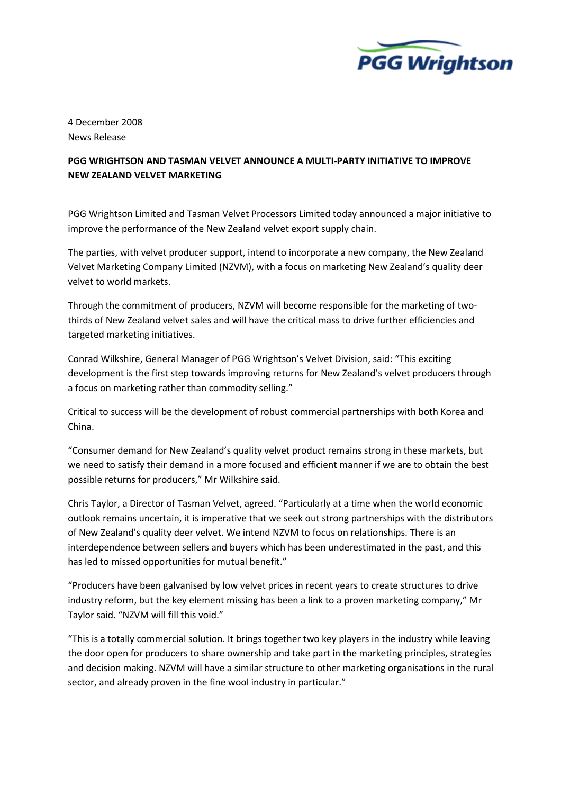

4 December 2008 News Release

## PGG WRIGHTSON AND TASMAN VELVET ANNOUNCE A MULTI-PARTY INITIATIVE TO IMPROVE NEW ZEALAND VELVET MARKETING

PGG Wrightson Limited and Tasman Velvet Processors Limited today announced a major initiative to improve the performance of the New Zealand velvet export supply chain.

The parties, with velvet producer support, intend to incorporate a new company, the New Zealand Velvet Marketing Company Limited (NZVM), with a focus on marketing New Zealand's quality deer velvet to world markets.

Through the commitment of producers, NZVM will become responsible for the marketing of twothirds of New Zealand velvet sales and will have the critical mass to drive further efficiencies and targeted marketing initiatives.

Conrad Wilkshire, General Manager of PGG Wrightson's Velvet Division, said: "This exciting development is the first step towards improving returns for New Zealand's velvet producers through a focus on marketing rather than commodity selling."

Critical to success will be the development of robust commercial partnerships with both Korea and China.

"Consumer demand for New Zealand's quality velvet product remains strong in these markets, but we need to satisfy their demand in a more focused and efficient manner if we are to obtain the best possible returns for producers," Mr Wilkshire said.

Chris Taylor, a Director of Tasman Velvet, agreed. "Particularly at a time when the world economic outlook remains uncertain, it is imperative that we seek out strong partnerships with the distributors of New Zealand's quality deer velvet. We intend NZVM to focus on relationships. There is an interdependence between sellers and buyers which has been underestimated in the past, and this has led to missed opportunities for mutual benefit."

"Producers have been galvanised by low velvet prices in recent years to create structures to drive industry reform, but the key element missing has been a link to a proven marketing company," Mr Taylor said. "NZVM will fill this void."

"This is a totally commercial solution. It brings together two key players in the industry while leaving the door open for producers to share ownership and take part in the marketing principles, strategies and decision making. NZVM will have a similar structure to other marketing organisations in the rural sector, and already proven in the fine wool industry in particular."